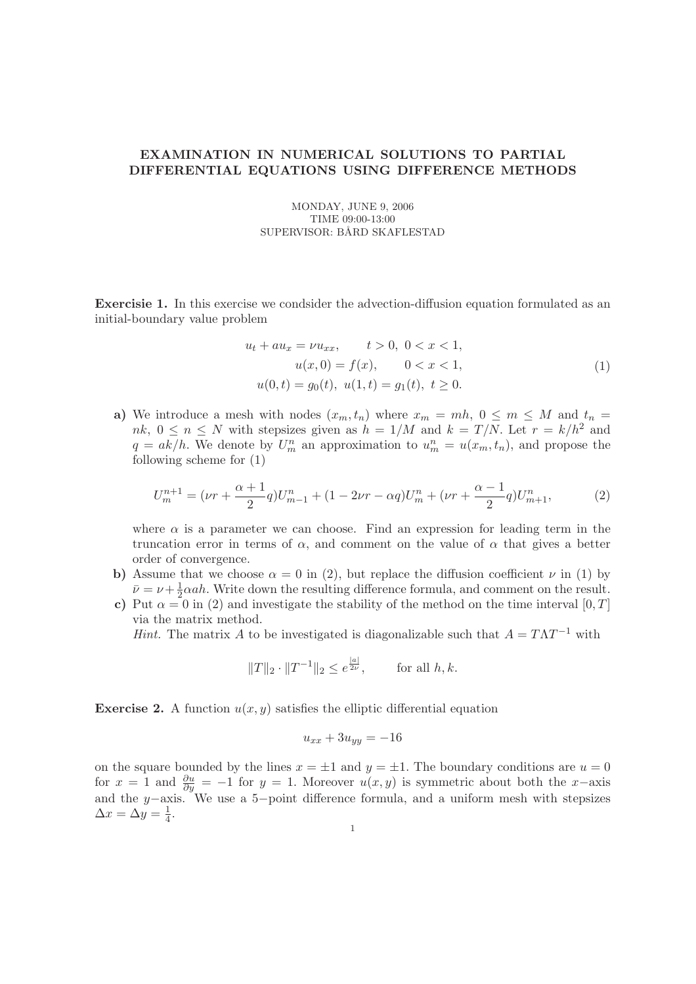## EXAMINATION IN NUMERICAL SOLUTIONS TO PARTIAL DIFFERENTIAL EQUATIONS USING DIFFERENCE METHODS

MONDAY, JUNE 9, 2006 TIME 09:00-13:00 SUPERVISOR: BÅRD SKAFLESTAD

Exercisie 1. In this exercise we condsider the advection-diffusion equation formulated as an initial-boundary value problem

$$
u_t + au_x = \nu u_{xx}, \t t > 0, \ 0 < x < 1,
$$
  
\n
$$
u(x, 0) = f(x), \t 0 < x < 1,
$$
  
\n
$$
u(0, t) = g_0(t), \ u(1, t) = g_1(t), \ t \ge 0.
$$
\n(1)

a) We introduce a mesh with nodes  $(x_m, t_n)$  where  $x_m = mh$ ,  $0 \le m \le M$  and  $t_n =$  $nk, 0 \leq n \leq N$  with stepsizes given as  $h = 1/M$  and  $k = T/N$ . Let  $r = k/h^2$  and  $q = ak/h$ . We denote by  $U_m^n$  an approximation to  $u_m^n = u(x_m, t_n)$ , and propose the following scheme for (1)

$$
U_m^{n+1} = (\nu r + \frac{\alpha + 1}{2} q) U_{m-1}^n + (1 - 2\nu r - \alpha q) U_m^n + (\nu r + \frac{\alpha - 1}{2} q) U_{m+1}^n, \tag{2}
$$

where  $\alpha$  is a parameter we can choose. Find an expression for leading term in the truncation error in terms of  $\alpha$ , and comment on the value of  $\alpha$  that gives a better order of convergence.

- b) Assume that we choose  $\alpha = 0$  in (2), but replace the diffusion coefficient  $\nu$  in (1) by  $\bar{\nu} = \nu + \frac{1}{2}$  $\frac{1}{2}$  and  $\alpha$ . Write down the resulting difference formula, and comment on the result.
- c) Put  $\alpha = 0$  in (2) and investigate the stability of the method on the time interval [0, T] via the matrix method.

Hint. The matrix A to be investigated is diagonalizable such that  $A = T\Lambda T^{-1}$  with

$$
||T||_2 \cdot ||T^{-1}||_2 \le e^{\frac{|a|}{2\nu}},
$$
 for all  $h, k$ .

**Exercise 2.** A function  $u(x, y)$  satisfies the elliptic differential equation

$$
u_{xx} + 3u_{yy} = -16
$$

on the square bounded by the lines  $x = \pm 1$  and  $y = \pm 1$ . The boundary conditions are  $u = 0$ for  $x = 1$  and  $\frac{\partial u}{\partial y} = -1$  for  $y = 1$ . Moreover  $u(x, y)$  is symmetric about both the x-axis and the y−axis. We use a 5−point difference formula, and a uniform mesh with stepsizes  $\Delta x = \Delta y = \frac{1}{4}$  $\frac{1}{4}$ .